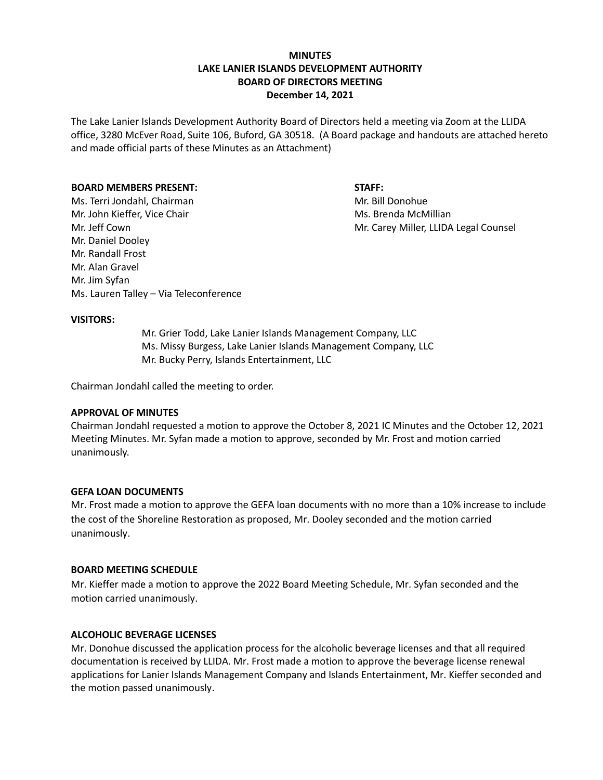# **MINUTES LAKE LANIER ISLANDS DEVELOPMENT AUTHORITY BOARD OF DIRECTORS MEETING December 14, 2021**

The Lake Lanier Islands Development Authority Board of Directors held a meeting via Zoom at the LLIDA office, 3280 McEver Road, Suite 106, Buford, GA 30518. (A Board package and handouts are attached hereto and made official parts of these Minutes as an Attachment)

#### **BOARD MEMBERS PRESENT:**

#### **STAFF:**

Ms. Terri Jondahl, Chairman Mr. John Kieffer, Vice Chair Mr. Jeff Cown Mr. Daniel Dooley Mr. Randall Frost Mr. Alan Gravel Mr. Jim Syfan Ms. Lauren Talley – Via Teleconference Mr. Bill Donohue Ms. Brenda McMillian Mr. Carey Miller, LLIDA Legal Counsel

#### **VISITORS:**

Mr. Grier Todd, Lake Lanier Islands Management Company, LLC Ms. Missy Burgess, Lake Lanier Islands Management Company, LLC Mr. Bucky Perry, Islands Entertainment, LLC

Chairman Jondahl called the meeting to order.

#### **APPROVAL OF MINUTES**

Chairman Jondahl requested a motion to approve the October 8, 2021 IC Minutes and the October 12, 2021 Meeting Minutes. Mr. Syfan made a motion to approve, seconded by Mr. Frost and motion carried unanimously.

#### **GEFA LOAN DOCUMENTS**

Mr. Frost made a motion to approve the GEFA loan documents with no more than a 10% increase to include the cost of the Shoreline Restoration as proposed, Mr. Dooley seconded and the motion carried unanimously.

#### **BOARD MEETING SCHEDULE**

Mr. Kieffer made a motion to approve the 2022 Board Meeting Schedule, Mr. Syfan seconded and the motion carried unanimously.

## **ALCOHOLIC BEVERAGE LICENSES**

Mr. Donohue discussed the application process for the alcoholic beverage licenses and that all required documentation is received by LLIDA. Mr. Frost made a motion to approve the beverage license renewal applications for Lanier Islands Management Company and Islands Entertainment, Mr. Kieffer seconded and the motion passed unanimously.